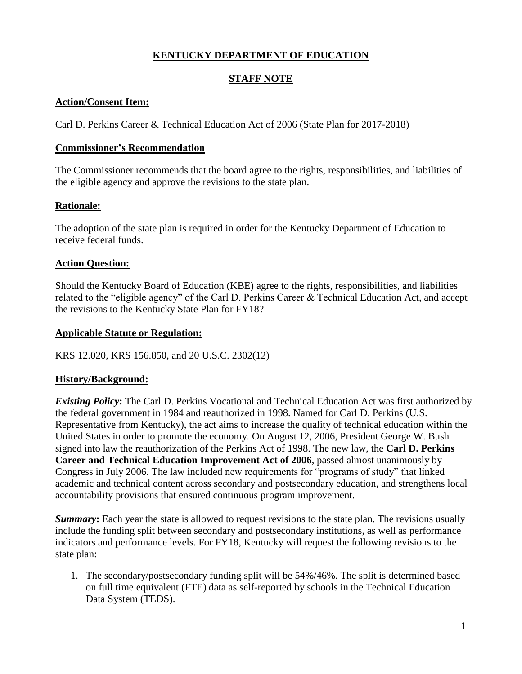# **KENTUCKY DEPARTMENT OF EDUCATION**

# **STAFF NOTE**

## **Action/Consent Item:**

Carl D. Perkins Career & Technical Education Act of 2006 (State Plan for 2017-2018)

### **Commissioner's Recommendation**

The Commissioner recommends that the board agree to the rights, responsibilities, and liabilities of the eligible agency and approve the revisions to the state plan.

## **Rationale:**

The adoption of the state plan is required in order for the Kentucky Department of Education to receive federal funds.

### **Action Question:**

Should the Kentucky Board of Education (KBE) agree to the rights, responsibilities, and liabilities related to the "eligible agency" of the Carl D. Perkins Career & Technical Education Act, and accept the revisions to the Kentucky State Plan for FY18?

#### **Applicable Statute or Regulation:**

KRS 12.020, KRS 156.850, and 20 U.S.C. 2302(12)

#### **History/Background:**

*Existing Policy***:** The Carl D. Perkins Vocational and Technical Education Act was first authorized by the [federal government](http://en.wikipedia.org/wiki/Federal_government) in 1984 and reauthorized in 1998. Named for [Carl D. Perkins](http://en.wikipedia.org/wiki/Carl_D._Perkins) (U.S. Representative from Kentucky), the act aims to increase the quality of technical education within the United States in order to promote the economy. On August 12, 2006, President George W. Bush signed into law the reauthorization of the Perkins Act of 1998. The new law, the **Carl D. Perkins Career and Technical Education Improvement Act of 2006**, passed almost unanimously by Congress in July 2006. The law included new requirements for "programs of study" that linked academic and technical content across secondary and postsecondary education, and strengthens local accountability provisions that ensured continuous program improvement.

*Summary*: Each year the state is allowed to request revisions to the state plan. The revisions usually include the funding split between secondary and postsecondary institutions, as well as performance indicators and performance levels. For FY18, Kentucky will request the following revisions to the state plan:

1. The secondary/postsecondary funding split will be 54%/46%. The split is determined based on full time equivalent (FTE) data as self-reported by schools in the Technical Education Data System (TEDS).